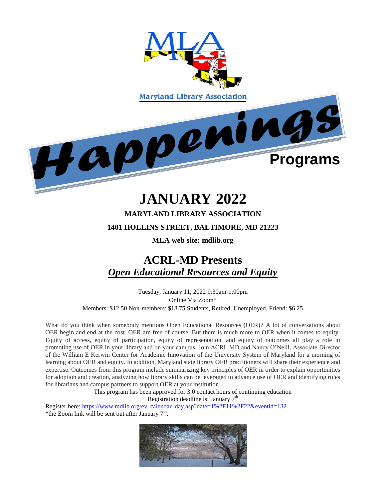

## **JANUARY 2022**

### **MARYLAND LIBRARY ASSOCIATION**

#### **1401 HOLLINS STREET, BALTIMORE, MD 21223**

**MLA web site: mdlib.org**

## **ACRL-MD Presents**  *Open Educational Resources and Equity*

Tuesday, January 11, 2022 9:30am-1:00pm Online Via Zoom\* Members: \$12.50 Non-members: \$18.75 Students, Retired, Unemployed, Friend: \$6.25

What do you think when somebody mentions Open Educational Resources (OER)? A lot of conversations about OER begin and end at the cost. OER are free of course. But there is much more to OER when it comes to equity. Equity of access, equity of participation, equity of representation, and equity of outcomes all play a role in promoting use of OER in your library and on your campus. Join ACRL MD and Nancy O'Neill, Associate Director of the William E Kerwin Center for Academic Innovation of the University System of Maryland for a morning of learning about OER and equity. In addition, Maryland state library OER practitioners will share their experience and expertise. Outcomes from this program include summarizing key principles of OER in order to explain opportunities for adoption and creation, analyzing how library skills can be leveraged to advance use of OER and identifying roles for librarians and campus partners to support OER at your institution.

> This program has been approved for 3.0 contact hours of continuing education Registration deadline is: January  $7<sup>th</sup>$

Register here: [https://www.mdlib.org/ev\\_calendar\\_day.asp?date=1%2F11%2F22&eventid=132](https://www.mdlib.org/ev_calendar_day.asp?date=1%2F11%2F22&eventid=132) \*the Zoom link will be sent out after January  $7<sup>th</sup>$ .

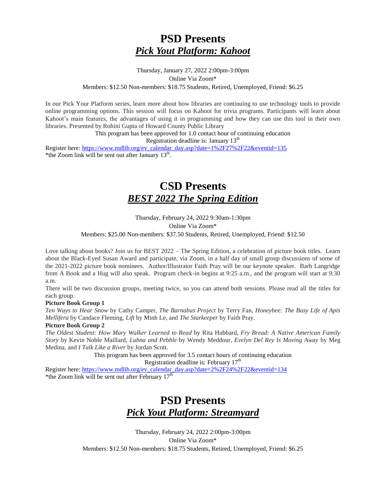## **PSD Presents**  *Pick Yout Platform: Kahoot*

#### Thursday, January 27, 2022 2:00pm-3:00pm Online Via Zoom\* Members: \$12.50 Non-members: \$18.75 Students, Retired, Unemployed, Friend: \$6.25

In our Pick Your Platform series, learn more about how libraries are continuing to use technology tools to provide online programming options. This session will focus on Kahoot for trivia programs. Participants will learn about Kahoot's main features, the advantages of using it in programming and how they can use this tool in their own libraries. Presented by Rohini Gupta of Howard County Public Library

> This program has been approved for 1.0 contact hour of continuing education Registration deadline is: January  $13<sup>th</sup>$

Register here: [https://www.mdlib.org/ev\\_calendar\\_day.asp?date=1%2F27%2F22&eventid=135](https://www.mdlib.org/ev_calendar_day.asp?date=1%2F27%2F22&eventid=135) \*the Zoom link will be sent out after January  $13<sup>th</sup>$ .

# **CSD Presents**

## *BEST 2022 The Spring Edition*

Thursday, February 24, 2022 9:30am-1:30pm Online Via Zoom\* Members: \$25.00 Non-members: \$37.50 Students, Retired, Unemployed, Friend: \$12.50

Love talking about books? Join us for BEST 2022 – The Spring Edition, a celebration of picture book titles. Learn about the Black-Eyed Susan Award and participate, via Zoom, in a half day of small group discussions of some of the 2021-2022 picture book nominees. Author/Illustrator Faith Pray will be our keynote speaker. Barb Langridge from A Book and a Hug will also speak. Program check-in begins at 9:25 a.m., and the program will start at 9:30 a.m.

There will be two discussion groups, meeting twice, so you can attend both sessions. Please read all the titles for each group.

#### **Picture Book Group 1**

*Ten Ways to Hear Snow* by Cathy Camper, *The Barnabus Project* by Terry Fan, *Honeybee: The Busy Life of Apis Mellifera* by Candace Fleming, *Lift* by Minh Le, and *The Starkeeper* by Faith Pray.

#### **Picture Book Group 2**

*The Oldest Student: How Mary Walker Learned to Read* by Rita Hubbard, *Fry Bread: A Native American Family Story* by Kevin Noble Maillard*, Lubna and Pebble* by Wendy Meddour, *Evelyn Del Rey Is Moving Away* by Meg Medina, and *I Talk Like a River* by Jordan Scott.

> This program has been approved for 3.5 contact hours of continuing education Registration deadline is: February  $17<sup>th</sup>$

Register here: [https://www.mdlib.org/ev\\_calendar\\_day.asp?date=2%2F24%2F22&eventid=134](https://www.mdlib.org/ev_calendar_day.asp?date=2%2F24%2F22&eventid=134) \*the Zoom link will be sent out after February  $17<sup>th</sup>$ 

## **PSD Presents**  *Pick Yout Platform: Streamyard*

Thursday, February 24, 2022 2:00pm-3:00pm Online Via Zoom\* Members: \$12.50 Non-members: \$18.75 Students, Retired, Unemployed, Friend: \$6.25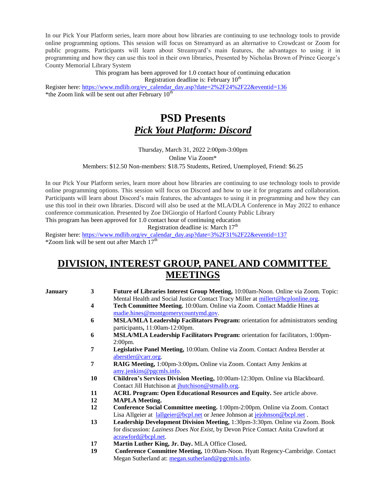In our Pick Your Platform series, learn more about how libraries are continuing to use technology tools to provide online programming options. This session will focus on Streamyard as an alternative to Crowdcast or Zoom for public programs. Participants will learn about Streamyard's main features, the advantages to using it in programming and how they can use this tool in their own libraries, Presented by Nicholas Brown of Prince George's County Memorial Library System

> This program has been approved for 1.0 contact hour of continuing education Registration deadline is: February  $10<sup>th</sup>$

Register here: [https://www.mdlib.org/ev\\_calendar\\_day.asp?date=2%2F24%2F22&eventid=136](https://www.mdlib.org/ev_calendar_day.asp?date=2%2F24%2F22&eventid=136) \*the Zoom link will be sent out after February  $10^{th}$ 

## **PSD Presents**  *Pick Yout Platform: Discord*

Thursday, March 31, 2022 2:00pm-3:00pm Online Via Zoom\* Members: \$12.50 Non-members: \$18.75 Students, Retired, Unemployed, Friend: \$6.25

In our Pick Your Platform series, learn more about how libraries are continuing to use technology tools to provide online programming options. This session will focus on Discord and how to use it for programs and collaboration. Participants will learn about Discord's main features, the advantages to using it in programming and how they can use this tool in their own libraries. Discord will also be used at the MLA/DLA Conference in May 2022 to enhance conference communication. Presented by Zoe DiGiorgio of Harford County Public Library This program has been approved for 1.0 contact hour of continuing education

Registration deadline is: March  $17<sup>th</sup>$ 

Register here: [https://www.mdlib.org/ev\\_calendar\\_day.asp?date=3%2F31%2F22&eventid=137](https://www.mdlib.org/ev_calendar_day.asp?date=3%2F31%2F22&eventid=137)  $*$ Zoom link will be sent out after March  $17<sup>th</sup>$ 

## **DIVISION, INTEREST GROUP, PANEL AND COMMITTEE MEETINGS**

- **January 3 Future of Libraries Interest Group Meeting,** 10:00am-Noon. Online via Zoom. Topic: Mental Health and Social Justice Contact Tracy Miller at [millert@hcplonline.org.](mailto:millert@hcplonline.org)
	- **4 Tech Committee Meeting.** 10:00am. Online via Zoom. Contact Maddie Hines at [madie.hines@montgomerycountymd.gov.](mailto:madie.hines@montgomerycountymd.gov)
	- **6 MSLA/MLA Leadership Facilitators Program:** orientation for administrators sending participants**,** 11:00am-12:00pm.
	- **6 MSLA/MLA Leadership Facilitators Program:** orientation for facilitators, 1:00pm-2:00pm.
	- **7 Legislative Panel Meeting,** 10:00am. Online via Zoom. Contact Andrea Berstler at [aberstler@carr.org.](mailto:aberstler@carr.org)
	- **7 RAIG Meeting,** 1:00pm-3:00pm**.** Online via Zoom. Contact Amy Jenkins at [amy.jenkins@pgcmls.info.](mailto:amy.jenkins@pgcmls.info)
	- **10 Children's Services Division Meeting,** 10:00am-12:30pm. Online via Blackboard. Contact Jill Hutchison at *jhutchison@stmalib.org*.
	- **11 ACRL Program: Open Educational Resources and Equity.** See article above.
	- **12 MAPLA Meeting.**
	- **12 Conference Social Committee meeting.** 1:00pm-2:00pm. Online via Zoom. Contact Lisa Allgeier at [lallgeier@bcpl.net](mailto:lallgeier@bcpl.net) or Jenee Johnson at [jejohnson@bcpl.net](mailto:jejohnson@bcpl.net).
	- **13 Leadership Development Division Meeting,** 1:30pm-3:30pm. Online via Zoom. Book for discussion: *Laziness Does Not Exist,* by Devon Price Contact Anita Crawford at [acrawford@bcpl.net.](mailto:acrawford@bcpl.net)
	- **17 Martin Luther King, Jr. Day.** MLA Office Closed**.**
	- **19 Conference Committee Meeting,** 10:00am-Noon. Hyatt Regency-Cambridge. Contact Megan Sutherland at: [megan.sutherland@pgcmls.info.](mailto:megan.sutherland@pgcmls.info)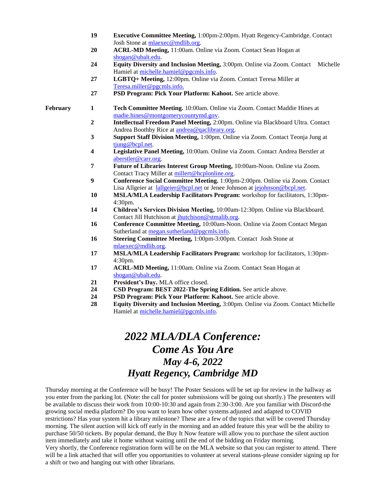- **19 Executive Committee Meeting,** 1:00pm-2:00pm. Hyatt Regency-Cambridge. Contact Josh Stone at [mlaexec@mdlib.org.](mailto:mlaexec@mdlib.org)
- **20 ACRL-MD Meeting,** 11:00am. Online via Zoom. Contact Sean Hogan at [shogan@ubalt.edu.](mailto:shogan@ubalt.edu)
- **24 Equity Diversity and Inclusion Meeting,** 3:00pm. Online via Zoom. Contact Michelle Hamiel at [michelle.hamiel@pgcmls.info.](mailto:michelle.hamiel@pgcmls.info)
- **27 LGBTQ+ Meeting,** 12:00pm. Online via Zoom. Contact Teresa Miller at [Teresa.miller@pgcmls.info.](mailto:Teresa.miller@pgcmls.info)
- **27 PSD Program: Pick Your Platform: Kahoot.** See article above.

- **February 1 Tech Committee Meeting.** 10:00am. Online via Zoom. Contact Maddie Hines at [madie.hines@montgomerycountymd.gov.](mailto:madie.hines@montgomerycountymd.gov)
	- **2 Intellectual Freedom Panel Meeting,** 2:00pm. Online via Blackboard Ultra. Contact Andrea Boothby Rice at [andrea@qaclibrary.org.](mailto:andrea@qaclibrary.org)
	- **3 Support Staff Division Meeting,** 1:00pm. Online via Zoom. Contact Teonja Jung at [tjung@bcpl.net.](mailto:tjung@bcpl.net)
	- **4 Legislative Panel Meeting,** 10:00am. Online via Zoom. Contact Andrea Berstler at [aberstler@carr.org.](mailto:aberstler@carr.org)
	- **7 Future of Libraries Interest Group Meeting,** 10:00am-Noon. Online via Zoom. Contact Tracy Miller a[t millert@hcplonline.org.](mailto:millert@hcplonline.org)
	- **9 Conference Social Committee Meeting.** 1:00pm-2:00pm. Online via Zoom. Contact Lisa Allgeier at [lallgeier@bcpl.net](mailto:lallgeier@bcpl.net) or Jenee Johnson at [jejohnson@bcpl.net.](mailto:jejohnson@bcpl.net)
	- **10 MSLA/MLA Leadership Facilitators Program:** workshop for facilitators, 1:30pm-4:30pm.
	- **14 Children's Services Division Meeting,** 10:00am-12:30pm. Online via Blackboard. Contact Jill Hutchison a[t jhutchison@stmalib.org.](mailto:jhutchison@stmalib.org)
	- **16 Conference Committee Meeting,** 10:00am-Noon. Online via Zoom Contact Megan Sutherland at [megan.sutherland@pgcmls.info.](mailto:megan.sutherland@pgcmls.info)
	- **16 Steering Committee Meeting,** 1:00pm-3:00pm. Contact Josh Stone at [mlaexec@mdlib.org.](mailto:mlaexec@mdlib.org)
	- **17 MSLA/MLA Leadership Facilitators Program:** workshop for facilitators, 1:30pm-4:30pm.
	- **17 ACRL-MD Meeting,** 11:00am. Online via Zoom. Contact Sean Hogan at [shogan@ubalt.edu.](mailto:shogan@ubalt.edu)
	- **21 President's Day.** MLA office closed.
	- **24 CSD Program: BEST 2022-The Spring Edition.** See article above.
	- **24 PSD Program: Pick Your Platform: Kahoot.** See article above.
	- **28 Equity Diversity and Inclusion Meeting,** 3:00pm. Online via Zoom. Contact Michelle Hamiel at [michelle.hamiel@pgcmls.info.](mailto:michelle.hamiel@pgcmls.info)

## *2022 MLA/DLA Conference: Come As You Are May 4-6, 2022 Hyatt Regency, Cambridge MD*

Thursday morning at the Conference will be busy! The Poster Sessions will be set up for review in the hallway as you enter from the parking lot. (Note: the call for poster submissions will be going out shortly.) The presenters will be available to discuss their work from 10:00-10:30 and again from 2:30-3:00. Are you familiar with Discord-the growing social media platform? Do you want to learn how other systems adjusted and adapted to COVID restrictions? Has your system hit a library milestone? These are a few of the topics that will be covered Thursday morning. The silent auction will kick off early in the morning and an added feature this year will be the ability to purchase 50/50 tickets. By popular demand, the Buy It Now feature will allow you to purchase the silent auction item immediately and take it home without waiting until the end of the bidding on Friday morning. Very shortly, the Conference registration form will be on the MLA website so that you can register to attend. There

will be a link attached that will offer you opportunities to volunteer at several stations-please consider signing up for a shift or two and hanging out with other librarians.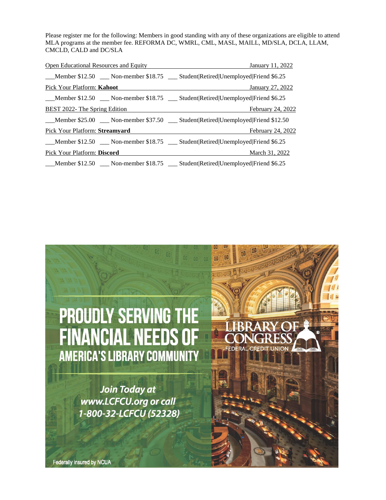Please register me for the following: Members in good standing with any of these organizations are eligible to attend MLA programs at the member fee. REFORMA DC, WMRL, CML, MASL, MAILL, MD/SLA, DCLA, LLAM, CMCLD, CALD and DC/SLA

| Open Educational Resources and Equity | January 11, 2022                                                                  |
|---------------------------------------|-----------------------------------------------------------------------------------|
|                                       | Member \$12.50 Mon-member \$18.75 Student Retired Unemployed Friend \$6.25        |
| Pick Your Platform: Kahoot            | January 27, 2022                                                                  |
|                                       | Member \$12.50 __ Non-member \$18.75 __ Student Retired Unemployed Friend \$6.25  |
| BEST 2022- The Spring Edition         | February 24, 2022                                                                 |
|                                       | Member \$25.00 __ Non-member \$37.50 __ Student Retired Unemployed Friend \$12.50 |
| <b>Pick Your Platform: Streamyard</b> | February 24, 2022                                                                 |
|                                       | Member \$12.50 __ Non-member \$18.75 __ Student Retired Unemployed Friend \$6.25  |
| Pick Your Platform: Discord           | March 31, 2022                                                                    |
|                                       | Member \$12.50 __ Non-member \$18.75 __ Student Retired Unemployed Friend \$6.25  |